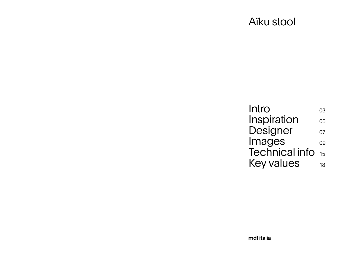<span id="page-0-0"></span>

[Intro](#page-1-0) [Images](#page-4-0) 

mdf italia

#### [Inspiration](#page-2-0) [Designer](#page-3-0) [Technical](#page-7-0) info Key [values](#page-9-0) 03 05 07 09 15 18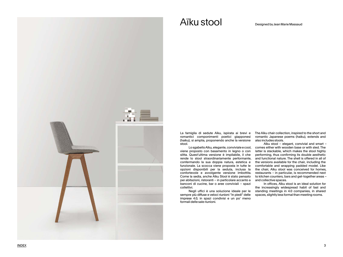#### Aïku stool Designed by Jean Marie Massaud

<span id="page-1-0"></span>

La famiglia di sedute Aïku, ispirata ai brevi e romantici componimenti poetici giapponesi (haiku), si amplia, proponendo anche la versione stool.

Lo sgabello Aïku, elegante, conviviale e cool, viene proposto con basamento in legno o con slitta. Quest'ultima versione è impilabile, il che rende lo stool straordinariamente performante, confermando la sua doppia natura, estetica e funzionale. La scocca viene proposta in tutte le opzioni disponibili per la seduta, inclusa la confortevole e avvolgente versione imbottita. Come la sedia, anche Aïku Stool è stato pensato per abitazioni, ristoranti – in particolare accanto a banconi di cucine, bar o aree conviviali – spazi collettivi.

Negli uffici è una soluzione ideale per le sempre più diffuse e veloci riunioni "in piedi" delle imprese 4.0, in spazi condivisi e un po' meno formali delle sale riunioni.

The Aïku chair collection, inspired to the short and romantic Japanese poems (haiku), extends and also includes stools.

Aïku stool – elegant, convivial and smart – comes either with wooden base or with sled. The latter is stackable, which makes the stool highly performing, thus confirming its double aesthetic and functional nature. The shell is offered in all of the versions available for the chair, including the comfortable and wrapping padded model. Like the chair, Aïku stool was conceived for homes, restaurants – in particular, is recommended next to kitchen counters, bars and get-together areas – and collective spaces.

In offices, Aïku stool is an ideal solution for the increasingly widespread habit of fast and standing meetings in 4.0 companies, in shared spaces, slightly less formal than meeting rooms.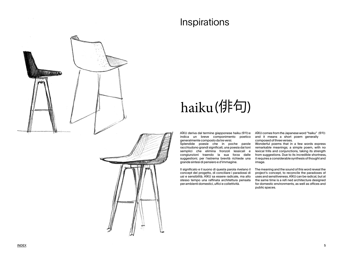#### **Inspirations**

<span id="page-2-0"></span>



# haiku(俳句)

AÏKU deriva dal termine giapponese haiku (俳句) e indica un breve componimento poetico generalmente composto da tre versi.

Splendide poesie che in poche parole racchiudono grandi significati, una poesia dai toni semplici che elimina fronzoli lessicali e congiunzioni traendo la sua forza dalle suggestioni; per l'estrema brevità richiede una grande sintesi di pensiero e d'immagine.

AÏKU comes from the Japanese word "haiku" (俳句) and it means a short poem generally composed of three verses.

Il significato e il suono di questa parola rivelano il concept del progetto, di conciliare i paradossi di usi e sensibilità. AÏKU sa essere radicale, ma allo stesso tempo una raffinata architettura pensata per ambienti domestici, uffici e collettività.

Wonderful poems that in a few words express remarkable meanings; a simple poem, with no lexical frills and conjunctions, taking its strength from suggestions. Due to its incredible shortness, it requires a considerable synthesis of thought and

image.

The meaning and the sound of this word reveal the project's concept, to reconcile the paradoxes of uses and sensitiveness. AÏKU can be radical, but at the same time is a refi ned architecture designed for domestic environments, as well as offices and public spaces.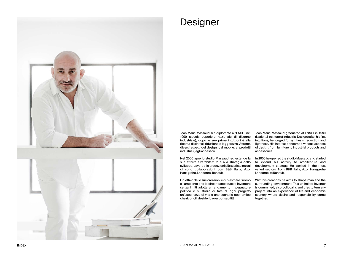<span id="page-3-0"></span>

#### Designer

Jean Marie Massaud si è diplomato all'ENSCI nel 1990 (scuola superiore nazionale di disegno industriale); dopo le sue prime intuizioni è alla ricerca di sintesi, riduzione e leggerezza. Affronta diversi aspetti del design: dal mobile, ai prodotti industriali, agli accessori.

Nel 2000 apre lo studio Massaud, ed estende la sua attività all'architettura e alla strategia dello sviluppo. Lavora alle produzioni più svariate tra cui ci sono collaborazioni con B&B Italia, Axor Hansgrohe, Lancome, Renault.

Obiettivo delle sue creazioni è di plasmare l'uomo e l'ambiente che lo circondano; questo inventore senza limiti adotta un andamento impegnato e politico e si sforza di fare di ogni progetto un'esperienza di vita e uno scenario economico che riconcili desiderio e responsabilità.

Jean Marie Massaud graduated at ENSCI in 1990 (National Institute of Industrial Design); after his first intuitions, he longed for synthesis, reduction and lightness. His interest concerned various aspects of design: from furniture to industrial products and accessories.

In 2000 he opened the studio Massaud and started to extend his activity to architecture and development strategy. He worked in the most varied sectors, from B&B Italia, Axor Hansgrohe, Lancome, to Renault.

With his creations he aims to shape man and the surrounding environment. This unlimited inventor is committed, also politically, and tries to turn any project into an experience of life and economic scenery where desire and responsibility come together.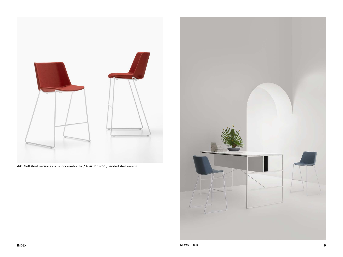<span id="page-4-0"></span>

Aïku Soft stool, versione con scocca imbottita. / Aïku Soft stool, padded shell version.

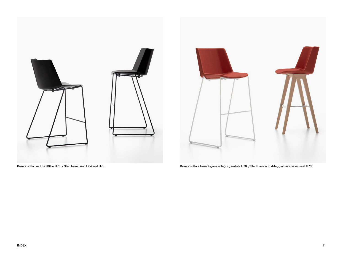

Base a slitta, seduta H64 e H76. / Sled base, seat H64 and H76. **Base a slitta e base 4 gambe legno, seduta H76**. / Sled base and 4-legged oak base, seat H76.

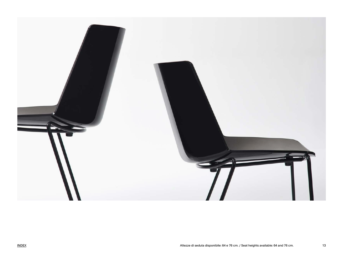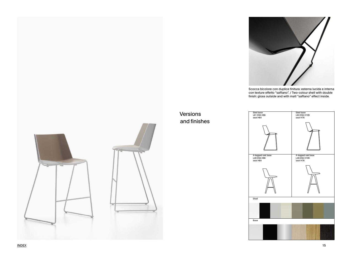[INDEX](#page-0-0) 15

Versions

and finishes







Scocca bicolore con duplice finitura: esterna lucida e interna con texture effetto "saffiano". / Two-colour shell with double finish: gloss outside and with matt "saffiano" effect inside.



Base

<span id="page-7-0"></span>





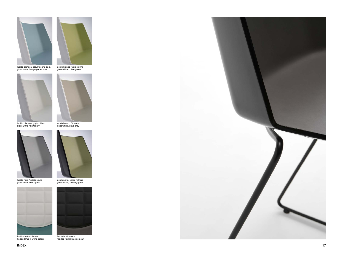

lucido bianco / azzurro carta da z. gloss white / sugar paper blue



lucido bianco / verde oliva gloss white / olive green



lucido bianco / grigio chiaro gloss white / light grey



lucido nero / grigio scuro gloss black / dark grey



lucido nero / verde militare gloss black / military green



lucido bianco / tortora gloss white /dove grey



Pad imbottito bianco Padded Pad in white colour



Pad imbottito nero Padded Pad in black colour